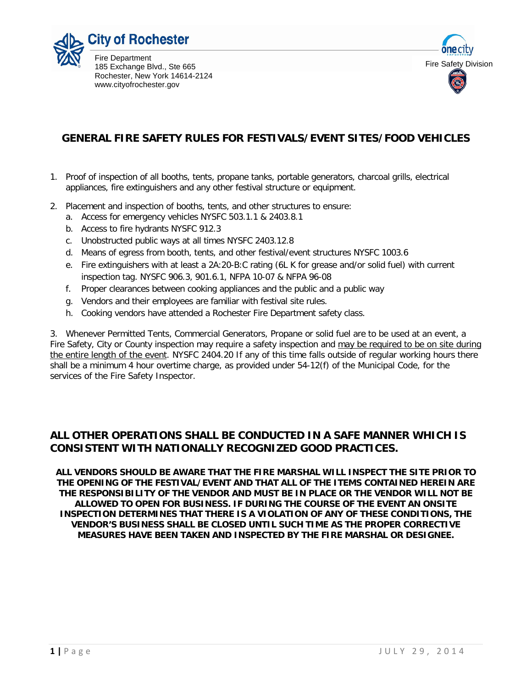



# **GENERAL FIRE SAFETY RULES FOR FESTIVALS/EVENT SITES/FOOD VEHICLES**

- 1. Proof of inspection of all booths, tents, propane tanks, portable generators, charcoal grills, electrical appliances, fire extinguishers and any other festival structure or equipment.
- 2. Placement and inspection of booths, tents, and other structures to ensure:
	- a. Access for emergency vehicles NYSFC 503.1.1 & 2403.8.1
	- b. Access to fire hydrants NYSFC 912.3
	- c. Unobstructed public ways at all times NYSFC 2403.12.8
	- d. Means of egress from booth, tents, and other festival/event structures NYSFC 1003.6
	- e. Fire extinguishers with at least a 2A:20-B:C rating (6L K for grease and/or solid fuel) with current inspection tag. NYSFC 906.3, 901.6.1, NFPA 10-07 & NFPA 96-08
	- f. Proper clearances between cooking appliances and the public and a public way
	- g. Vendors and their employees are familiar with festival site rules.
	- h. Cooking vendors have attended a Rochester Fire Department safety class.

3. Whenever Permitted Tents, Commercial Generators, Propane or solid fuel are to be used at an event, a Fire Safety, City or County inspection may require a safety inspection and may be required to be on site during the entire length of the event. NYSFC 2404.20 If any of this time falls outside of regular working hours there shall be a minimum 4 hour overtime charge, as provided under 54-12(f) of the Municipal Code, for the services of the Fire Safety Inspector.

#### **ALL OTHER OPERATIONS SHALL BE CONDUCTED IN A SAFE MANNER WHICH IS CONSISTENT WITH NATIONALLY RECOGNIZED GOOD PRACTICES.**

**ALL VENDORS SHOULD BE AWARE THAT THE FIRE MARSHAL WILL INSPECT THE SITE PRIOR TO THE OPENING OF THE FESTIVAL/EVENT AND THAT ALL OF THE ITEMS CONTAINED HEREIN ARE THE RESPONSIBILITY OF THE VENDOR AND MUST BE IN PLACE OR THE VENDOR WILL NOT BE ALLOWED TO OPEN FOR BUSINESS. IF DURING THE COURSE OF THE EVENT AN ONSITE INSPECTION DETERMINES THAT THERE IS A VIOLATION OF ANY OF THESE CONDITIONS, THE VENDOR'S BUSINESS SHALL BE CLOSED UNTIL SUCH TIME AS THE PROPER CORRECTIVE MEASURES HAVE BEEN TAKEN AND INSPECTED BY THE FIRE MARSHAL OR DESIGNEE.**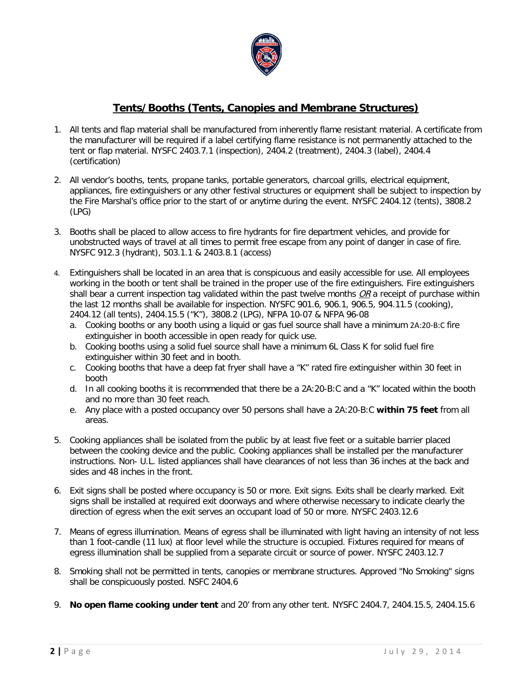

## **Tents/Booths (Tents, Canopies and Membrane Structures)**

- 1. All tents and flap material shall be manufactured from inherently flame resistant material. A certificate from the manufacturer will be required if a label certifying flame resistance is not permanently attached to the tent or flap material. NYSFC 2403.7.1 (inspection), 2404.2 (treatment), 2404.3 (label), 2404.4 (certification)
- 2. All vendor's booths, tents, propane tanks, portable generators, charcoal grills, electrical equipment, appliances, fire extinguishers or any other festival structures or equipment shall be subject to inspection by the Fire Marshal's office prior to the start of or anytime during the event. NYSFC 2404.12 (tents), 3808.2 (LPG)
- 3. Booths shall be placed to allow access to fire hydrants for fire department vehicles, and provide for unobstructed ways of travel at all times to permit free escape from any point of danger in case of fire. NYSFC 912.3 (hydrant), 503.1.1 & 2403.8.1 (access)
- 4. Extinguishers shall be located in an area that is conspicuous and easily accessible for use. All employees working in the booth or tent shall be trained in the proper use of the fire extinguishers. Fire extinguishers shall bear a current inspection tag validated within the past twelve months  $OR$  a receipt of purchase within the last 12 months shall be available for inspection. NYSFC 901.6, 906.1, 906.5, 904.11.5 (cooking), 2404.12 (all tents), 2404.15.5 ("K"), 3808.2 (LPG), NFPA 10-07 & NFPA 96-08
	- a. Cooking booths or any booth using a liquid or gas fuel source shall have a minimum 2A:20-B:C fire extinguisher in booth accessible in open ready for quick use.
	- b. Cooking booths using a solid fuel source shall have a minimum 6L Class K for solid fuel fire extinguisher within 30 feet and in booth.
	- c. Cooking booths that have a deep fat fryer shall have a "K" rated fire extinguisher within 30 feet in booth
	- d. In all cooking booths it is recommended that there be a 2A:20-B:C and a "K" located within the booth and no more than 30 feet reach.
	- e. Any place with a posted occupancy over 50 persons shall have a 2A:20-B:C **within 75 feet** from all areas.
- 5. Cooking appliances shall be isolated from the public by at least five feet or a suitable barrier placed between the cooking device and the public. Cooking appliances shall be installed per the manufacturer instructions. Non- U.L. listed appliances shall have clearances of not less than 36 inches at the back and sides and 48 inches in the front.
- 6. Exit signs shall be posted where occupancy is 50 or more. Exit signs. Exits shall be clearly marked. Exit signs shall be installed at required exit doorways and where otherwise necessary to indicate clearly the direction of egress when the exit serves an occupant load of 50 or more. NYSFC 2403.12.6
- 7. Means of egress illumination. Means of egress shall be illuminated with light having an intensity of not less than 1 foot-candle (11 lux) at floor level while the structure is occupied. Fixtures required for means of egress illumination shall be supplied from a separate circuit or source of power. NYSFC 2403.12.7
- 8. Smoking shall not be permitted in tents, canopies or membrane structures. Approved "No Smoking" signs shall be conspicuously posted. NSFC 2404.6
- 9. **No open flame cooking under tent** and 20' from any other tent. NYSFC 2404.7, 2404.15.5, 2404.15.6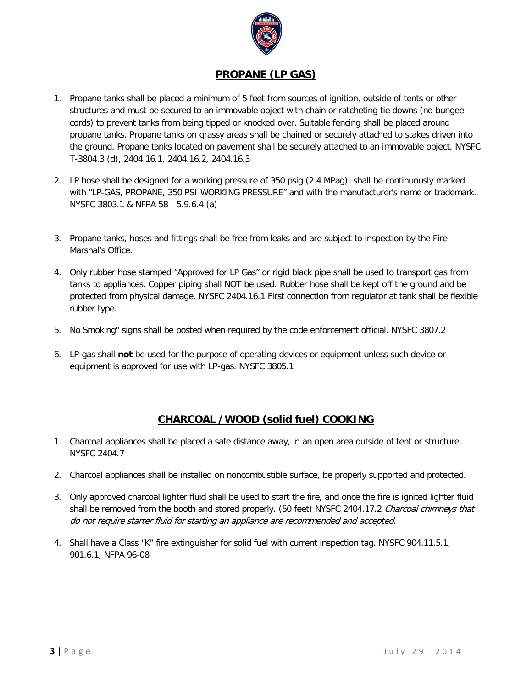

#### **PROPANE (LP GAS)**

- 1. Propane tanks shall be placed a minimum of 5 feet from sources of ignition, outside of tents or other structures and must be secured to an immovable object with chain or ratcheting tie downs (no bungee cords) to prevent tanks from being tipped or knocked over. Suitable fencing shall be placed around propane tanks. Propane tanks on grassy areas shall be chained or securely attached to stakes driven into the ground. Propane tanks located on pavement shall be securely attached to an immovable object. NYSFC T-3804.3 (d), 2404.16.1, 2404.16.2, 2404.16.3
- 2. LP hose shall be designed for a working pressure of 350 psig (2.4 MPag), shall be continuously marked with "LP-GAS, PROPANE, 350 PSI WORKING PRESSURE" and with the manufacturer's name or trademark. NYSFC 3803.1 & NFPA 58 - 5.9.6.4 (a)
- 3. Propane tanks, hoses and fittings shall be free from leaks and are subject to inspection by the Fire Marshal's Office.
- 4. Only rubber hose stamped "Approved for LP Gas" or rigid black pipe shall be used to transport gas from tanks to appliances. Copper piping shall NOT be used. Rubber hose shall be kept off the ground and be protected from physical damage. NYSFC 2404.16.1 First connection from regulator at tank shall be flexible rubber type.
- 5. No Smoking" signs shall be posted when required by the code enforcement official. NYSFC 3807.2
- 6. LP-gas shall **not** be used for the purpose of operating devices or equipment unless such device or equipment is approved for use with LP-gas. NYSFC 3805.1

#### **CHARCOAL /WOOD (solid fuel) COOKING**

- 1. Charcoal appliances shall be placed a safe distance away, in an open area outside of tent or structure. NYSFC 2404.7
- 2. Charcoal appliances shall be installed on noncombustible surface, be properly supported and protected.
- 3. Only approved charcoal lighter fluid shall be used to start the fire, and once the fire is ignited lighter fluid shall be removed from the booth and stored properly. (50 feet) NYSFC 2404.17.2 Charcoal chimneys that do not require starter fluid for starting an appliance are recommended and accepted.
- 4. Shall have a Class "K" fire extinguisher for solid fuel with current inspection tag. NYSFC 904.11.5.1, 901.6.1, NFPA 96-08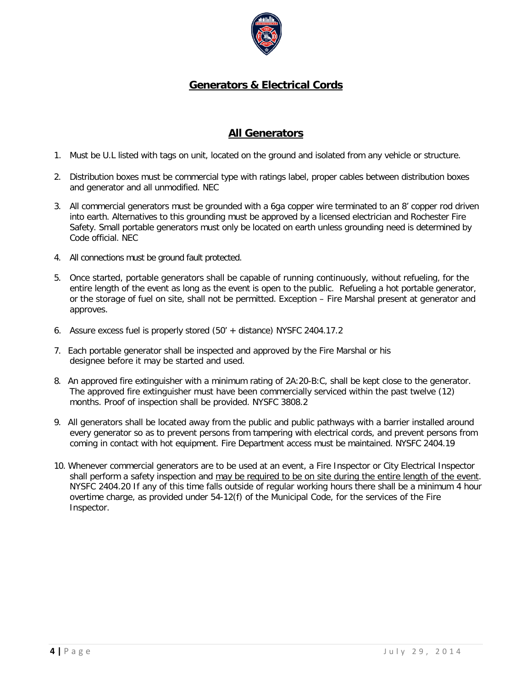

# **Generators & Electrical Cords**

## **All Generators**

- 1. Must be U.L listed with tags on unit, located on the ground and isolated from any vehicle or structure.
- 2. Distribution boxes must be commercial type with ratings label, proper cables between distribution boxes and generator and all unmodified. NEC
- 3. All commercial generators must be grounded with a 6ga copper wire terminated to an 8' copper rod driven into earth. Alternatives to this grounding must be approved by a licensed electrician and Rochester Fire Safety. Small portable generators must only be located on earth unless grounding need is determined by Code official. NEC
- 4. All connections must be ground fault protected.
- 5. Once started, portable generators shall be capable of running continuously, without refueling, for the entire length of the event as long as the event is open to the public. Refueling a hot portable generator, or the storage of fuel on site, shall not be permitted. Exception – Fire Marshal present at generator and approves.
- 6. Assure excess fuel is properly stored (50' + distance) NYSFC 2404.17.2
- 7. Each portable generator shall be inspected and approved by the Fire Marshal or his designee before it may be started and used.
- 8. An approved fire extinguisher with a minimum rating of 2A:20-B:C, shall be kept close to the generator. The approved fire extinguisher must have been commercially serviced within the past twelve (12) months. Proof of inspection shall be provided. NYSFC 3808.2
- 9. All generators shall be located away from the public and public pathways with a barrier installed around every generator so as to prevent persons from tampering with electrical cords, and prevent persons from coming in contact with hot equipment. Fire Department access must be maintained. NYSFC 2404.19
- 10. Whenever commercial generators are to be used at an event, a Fire Inspector or City Electrical Inspector shall perform a safety inspection and may be required to be on site during the entire length of the event. NYSFC 2404.20 If any of this time falls outside of regular working hours there shall be a minimum 4 hour overtime charge, as provided under 54-12(f) of the Municipal Code, for the services of the Fire Inspector.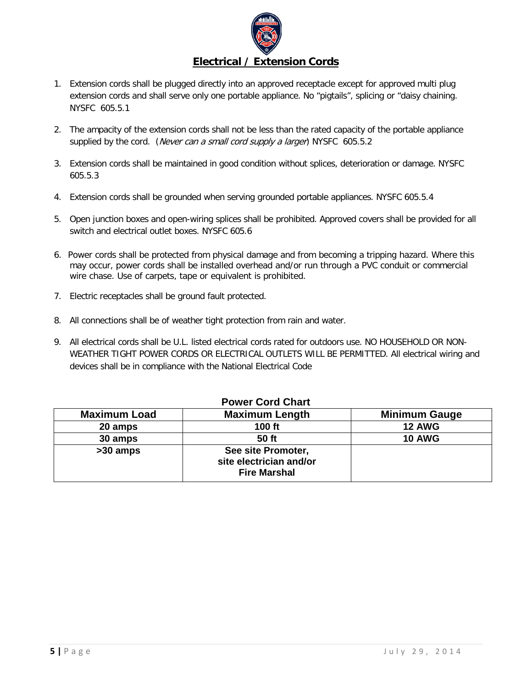

- 1. Extension cords shall be plugged directly into an approved receptacle except for approved multi plug extension cords and shall serve only one portable appliance. No "pigtails", splicing or "daisy chaining. NYSFC 605.5.1
- 2. The ampacity of the extension cords shall not be less than the rated capacity of the portable appliance supplied by the cord. (Never can a small cord supply a larger) NYSFC 605.5.2
- 3. Extension cords shall be maintained in good condition without splices, deterioration or damage. NYSFC 605.5.3
- 4. Extension cords shall be grounded when serving grounded portable appliances. NYSFC 605.5.4
- 5. Open junction boxes and open-wiring splices shall be prohibited. Approved covers shall be provided for all switch and electrical outlet boxes. NYSFC 605.6
- 6. Power cords shall be protected from physical damage and from becoming a tripping hazard. Where this may occur, power cords shall be installed overhead and/or run through a PVC conduit or commercial wire chase. Use of carpets, tape or equivalent is prohibited.
- 7. Electric receptacles shall be ground fault protected.
- 8. All connections shall be of weather tight protection from rain and water.
- 9. All electrical cords shall be U.L. listed electrical cords rated for outdoors use. NO HOUSEHOLD OR NON-WEATHER TIGHT POWER CORDS OR ELECTRICAL OUTLETS WILL BE PERMITTED. All electrical wiring and devices shall be in compliance with the National Electrical Code

| FUWCI OUIU OHAI L   |                                                                      |                      |
|---------------------|----------------------------------------------------------------------|----------------------|
| <b>Maximum Load</b> | <b>Maximum Length</b>                                                | <b>Minimum Gauge</b> |
| 20 amps             | <b>100 ft</b>                                                        | <b>12 AWG</b>        |
| 30 amps             | 50 ft                                                                | <b>10 AWG</b>        |
| >30 amps            | See site Promoter,<br>site electrician and/or<br><b>Fire Marshal</b> |                      |

# **Power Cord Chart**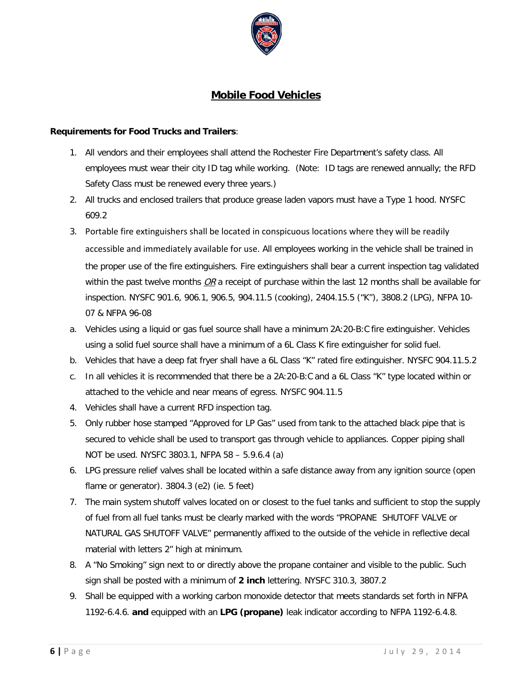

#### **Mobile Food Vehicles**

#### **Requirements for Food Trucks and Trailers**:

- 1. All vendors and their employees shall attend the Rochester Fire Department's safety class. All employees must wear their city ID tag while working. (Note: ID tags are renewed annually; the RFD Safety Class must be renewed every three years.)
- 2. All trucks and enclosed trailers that produce grease laden vapors must have a Type 1 hood. NYSFC 609.2
- 3. Portable fire extinguishers shall be located in conspicuous locations where they will be readily accessible and immediately available for use. All employees working in the vehicle shall be trained in the proper use of the fire extinguishers. Fire extinguishers shall bear a current inspection tag validated within the past twelve months  $OR$  a receipt of purchase within the last 12 months shall be available for inspection. NYSFC 901.6, 906.1, 906.5, 904.11.5 (cooking), 2404.15.5 ("K"), 3808.2 (LPG), NFPA 10- 07 & NFPA 96-08
- a. Vehicles using a liquid or gas fuel source shall have a minimum 2A:20-B:C fire extinguisher. Vehicles using a solid fuel source shall have a minimum of a 6L Class K fire extinguisher for solid fuel.
- b. Vehicles that have a deep fat fryer shall have a 6L Class "K" rated fire extinguisher. NYSFC 904.11.5.2
- c. In all vehicles it is recommended that there be a 2A:20-B:C and a 6L Class "K" type located within or attached to the vehicle and near means of egress. NYSFC 904.11.5
- 4. Vehicles shall have a current RFD inspection tag.
- 5. Only rubber hose stamped "Approved for LP Gas" used from tank to the attached black pipe that is secured to vehicle shall be used to transport gas through vehicle to appliances. Copper piping shall NOT be used. NYSFC 3803.1, NFPA 58 – 5.9.6.4 (a)
- 6. LPG pressure relief valves shall be located within a safe distance away from any ignition source (open flame or generator). 3804.3 (e2) (ie. 5 feet)
- 7. The main system shutoff valves located on or closest to the fuel tanks and sufficient to stop the supply of fuel from all fuel tanks must be clearly marked with the words "PROPANE SHUTOFF VALVE or NATURAL GAS SHUTOFF VALVE" permanently affixed to the outside of the vehicle in reflective decal material with letters 2" high at minimum.
- 8. A "No Smoking" sign next to or directly above the propane container and visible to the public. Such sign shall be posted with a minimum of **2 inch** lettering. NYSFC 310.3, 3807.2
- 9. Shall be equipped with a working carbon monoxide detector that meets standards set forth in NFPA 1192-6.4.6. **and** equipped with an **LPG (propane)** leak indicator according to NFPA 1192-6.4.8.